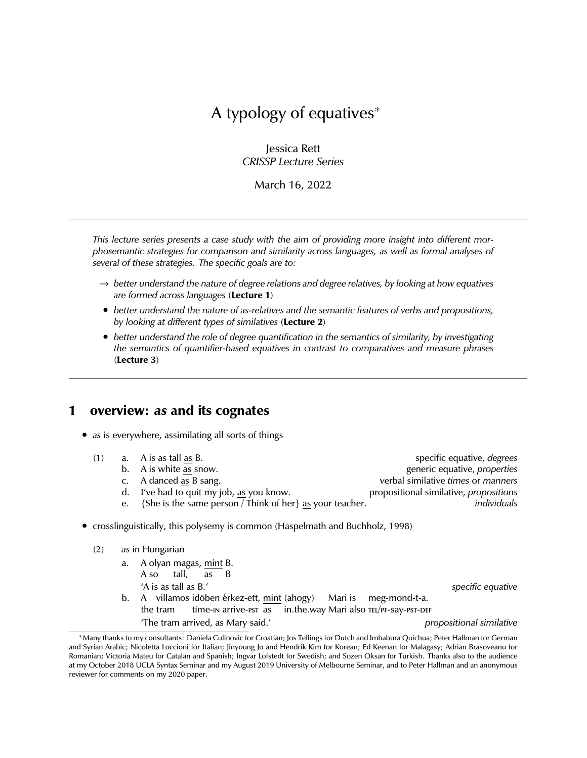# A typology of equatives<sup>∗</sup>

Jessica Rett *CRISSP Lecture Series*

March 16, 2022

*This lecture series presents a case study with the aim of providing more insight into different morphosemantic strategies for comparison and similarity across languages, as well as formal analyses of several of these strategies. The specific goals are to:*

- → *better understand the nature of degree relations and degree relatives, by looking at how equatives are formed across languages* (**Lecture 1**)
- *better understand the nature of as-relatives and the semantic features of verbs and propositions, by looking at different types of similatives* (**Lecture 2**)
- *better understand the role of degree quantification in the semantics of similarity, by investigating the semantics of quantifier-based equatives in contrast to comparatives and measure phrases* (**Lecture 3**)

### **1 overview:** *as* **and its cognates**

• *as* is everywhere, assimilating all sorts of things

| (1) | a. A is as tall as B.                                                          | specific equative, degrees             |
|-----|--------------------------------------------------------------------------------|----------------------------------------|
|     | b. A is white as snow.                                                         | generic equative, properties           |
|     | c. A danced as B sang.                                                         | verbal similative times or manners     |
|     | d. I've had to quit my job, as you know.                                       | propositional similative, propositions |
|     | e. {She is the same person / Think of her} as your teacher.                    | individuals                            |
|     | • crosslinguistically, this polysemy is common (Haspelmath and Buchholz, 1998) |                                        |

| (2) |  | as in Hungarian |
|-----|--|-----------------|
|-----|--|-----------------|

| a. A olyan magas, mint B.                                              |                          |
|------------------------------------------------------------------------|--------------------------|
| A so tall, as B                                                        |                          |
| 'A is as tall as B.'                                                   | specific equative        |
| b. A villamos idöben érkez-ett, mint (ahogy) Mari is meg-mond-t-a.     |                          |
| the tram time-in arrive-pst as in.the.way Mari also TEL/PF-Say-PST-DEF |                          |
| 'The tram arrived, as Mary said.'                                      | propositional similative |

<sup>∗</sup>Many thanks to my consultants: Daniela Culinovic for Croatian; Jos Tellings for Dutch and Imbabura Quichua; Peter Hallman for German and Syrian Arabic; Nicoletta Loccioni for Italian; Jinyoung Jo and Hendrik Kim for Korean; Ed Keenan for Malagasy; Adrian Brasoveanu for Romanian; Victoria Mateu for Catalan and Spanish; Ingvar Lofstedt for Swedish; and Sozen Oksan for Turkish. Thanks also to the audience at my October 2018 UCLA Syntax Seminar and my August 2019 University of Melbourne Seminar, and to Peter Hallman and an anonymous reviewer for comments on my 2020 paper.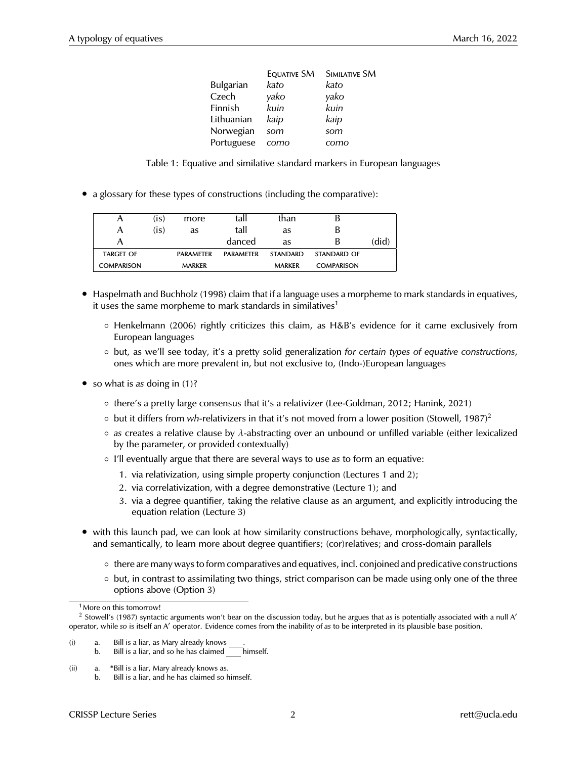|                  | <b>EQUATIVE SM</b> | <b>SIMILATIVE SM</b> |
|------------------|--------------------|----------------------|
| <b>Bulgarian</b> | kato               | kato                 |
| Czech            | yako               | yako                 |
| Finnish          | kuin               | kuin                 |
| Lithuanian       | kaip               | kaip                 |
| Norwegian        | som                | som                  |
| Portuguese       | como               | como                 |

Table 1: Equative and similative standard markers in European languages

• a glossary for these types of constructions (including the comparative):

| A                 | (is) | more             | tall             | than            |                   |       |
|-------------------|------|------------------|------------------|-----------------|-------------------|-------|
| A                 | (is) | as               | tall             | as              | В                 |       |
| А                 |      |                  | danced           | as              | В                 | (did) |
| <b>TARGET OF</b>  |      | <b>PARAMETER</b> | <b>PARAMETER</b> | <b>STANDARD</b> | STANDARD OF       |       |
| <b>COMPARISON</b> |      | <b>MARKER</b>    |                  | <b>MARKER</b>   | <b>COMPARISON</b> |       |

- Haspelmath and Buchholz (1998) claim that if a language uses a morpheme to mark standards in equatives, it uses the same morpheme to mark standards in similatives<sup>1</sup>
	- Henkelmann (2006) rightly criticizes this claim, as H&B's evidence for it came exclusively from European languages
	- but, as we'll see today, it's a pretty solid generalization *for certain types of equative constructions*, ones which are more prevalent in, but not exclusive to, (Indo-)European languages
- so what is *as* doing in (1)?
	- there's a pretty large consensus that it's a relativizer (Lee-Goldman, 2012; Hanink, 2021)
	- but it differs from *wh-*relativizers in that it's not moved from a lower position (Stowell, 1987)<sup>2</sup>
	- *as* creates a relative clause by λ-abstracting over an unbound or unfilled variable (either lexicalized by the parameter, or provided contextually)
	- I'll eventually argue that there are several ways to use *as* to form an equative:
		- 1. via relativization, using simple property conjunction (Lectures 1 and 2);
		- 2. via correlativization, with a degree demonstrative (Lecture 1); and
		- 3. via a degree quantifier, taking the relative clause as an argument, and explicitly introducing the equation relation (Lecture 3)
- with this launch pad, we can look at how similarity constructions behave, morphologically, syntactically, and semantically, to learn more about degree quantifiers; (cor)relatives; and cross-domain parallels
	- there are many ways to form comparatives and equatives, incl. conjoined and predicative constructions
	- but, in contrast to assimilating two things, strict comparison can be made using only one of the three options above (Option 3)

(ii) a.  $*Bill$  is a liar, Mary already knows as.<br>b Bill is a liar and be bas claimed so b Bill is a liar, and he has claimed so himself.

<sup>&</sup>lt;sup>1</sup> More on this tomorrow!

<sup>&</sup>lt;sup>2</sup> Stowell's (1987) syntactic arguments won't bear on the discussion today, but he argues that as is potentially associated with a null A' operator, while so is itself an A' operator. Evidence comes from the inability of *as* to be interpreted in its plausible base position.

 $(i)$  a. Bill is a liar, as Mary already knows  $\equiv$ 

b. Bill is a liar, and so he has claimed \_\_\_\_ himself.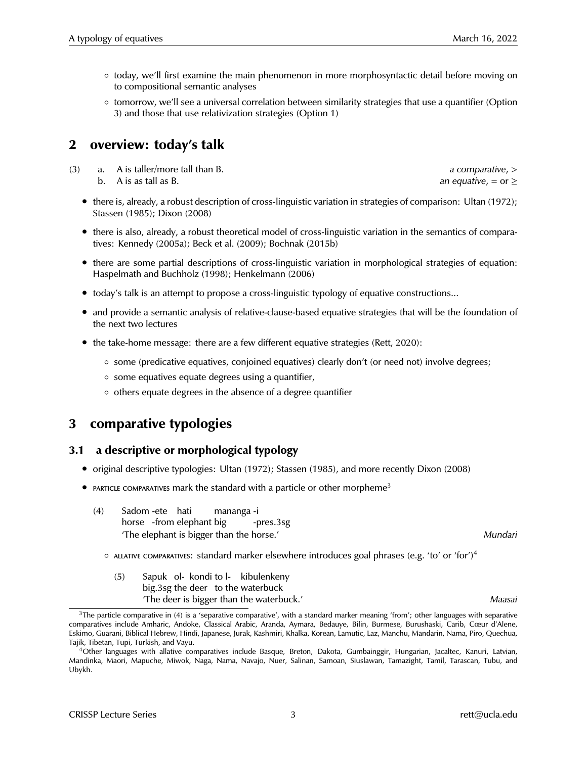- today, we'll first examine the main phenomenon in more morphosyntactic detail before moving on to compositional semantic analyses
- tomorrow, we'll see a universal correlation between similarity strategies that use a quantifier (Option 3) and those that use relativization strategies (Option 1)

### **2 overview: today's talk**

(3) a. A is taller/more tall than B. *a comparative*, > b. A is as tall as B. **an** equative,  $=$  or  $\ge$ 

- there is, already, a robust description of cross-linguistic variation in strategies of comparison: Ultan (1972); Stassen (1985); Dixon (2008)
- there is also, already, a robust theoretical model of cross-linguistic variation in the semantics of comparatives: Kennedy (2005a); Beck et al. (2009); Bochnak (2015b)
- there are some partial descriptions of cross-linguistic variation in morphological strategies of equation: Haspelmath and Buchholz (1998); Henkelmann (2006)
- today's talk is an attempt to propose a cross-linguistic typology of equative constructions...
- and provide a semantic analysis of relative-clause-based equative strategies that will be the foundation of the next two lectures
- the take-home message: there are a few different equative strategies (Rett, 2020):
	- some (predicative equatives, conjoined equatives) clearly don't (or need not) involve degrees;
	- some equatives equate degrees using a quantifier,
	- others equate degrees in the absence of a degree quantifier

### **3 comparative typologies**

#### **3.1 a descriptive or morphological typology**

- original descriptive typologies: Ultan (1972); Stassen (1985), and more recently Dixon (2008)
- PARTICLE COMPARATIVES mark the standard with a particle or other morpheme<sup>3</sup>
	- (4) Sadom -ete hati horse -from elephant big mananga -i -pres.3sg 'The elephant is bigger than the horse.' *Mundari*
		- $\circ$  allative comparatives: standard marker elsewhere introduces goal phrases (e.g. 'to' or 'for')<sup>4</sup>
			- (5) Sapuk ol-kondi to l-kibulenkeny big.3sg the deer to the waterbuck 'The deer is bigger than the waterbuck.' *Maasai*

 $3$ The particle comparative in (4) is a 'separative comparative', with a standard marker meaning 'from'; other languages with separative comparatives include Amharic, Andoke, Classical Arabic, Aranda, Aymara, Bedauye, Bilin, Burmese, Burushaski, Carib, Cœur d'Alene, Eskimo, Guarani, Biblical Hebrew, Hindi, Japanese, Jurak, Kashmiri, Khalka, Korean, Lamutic, Laz, Manchu, Mandarin, Nama, Piro, Quechua, Tajik, Tibetan, Tupi, Turkish, and Vayu.

<sup>4</sup>Other languages with allative comparatives include Basque, Breton, Dakota, Gumbainggir, Hungarian, Jacaltec, Kanuri, Latvian, Mandinka, Maori, Mapuche, Miwok, Naga, Nama, Navajo, Nuer, Salinan, Samoan, Siuslawan, Tamazight, Tamil, Tarascan, Tubu, and Ubykh.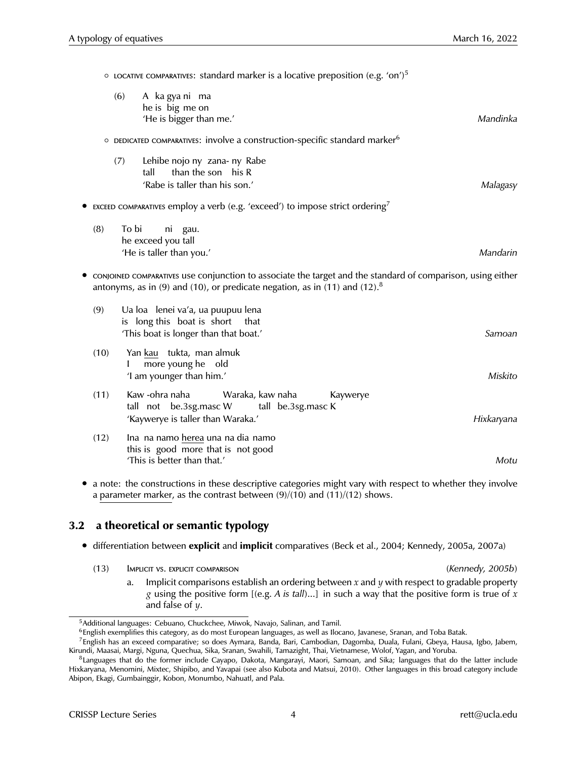$\circ$  locative comparatives: standard marker is a locative preposition (e.g. 'on')<sup>5</sup>  $(6)$ he is big me on ka gya ni ma 'He is bigger than me.' *Mandinka* ○ DEDICATED COMPARATIVES: involve a construction-specific standard marker<sup>6</sup> (7) Lehibe nojo ny zana-ny Rabe tall than the son his R 'Rabe is taller than his son.' *Malagasy* **EXCEED COMPARATIVES EMPLOY A Verb (e.g. 'exceed') to impose strict ordering**  $(8)$ he exceed you tall To bi ni gau. 'He is taller than you.' *Mandarin* • conjoined comparatives use conjunction to associate the target and the standard of comparison, using either antonyms, as in (9) and (10), or predicate negation, as in (11) and (12).<sup>8</sup> (9) Ua loa lenei va'a, ua puupuu lena is long this boat is short that 'This boat is longer than that boat.' *Samoan*  $(10)$ I <u>kau</u> tukta, man almuk more young he old 'I am younger than him.' *Miskito* (11) Kaw -ohra naha tall not be.3sg.masc W Waraka, kaw naha tall be.3sg.masc K Kaywerye 'Kaywerye is taller than Waraka.' *Hixkaryana*  $(12)$ this is good more that is not good na namo <u>herea</u> una na dia namo 'This is better than that.' *Motu*

• a note: the constructions in these descriptive categories might vary with respect to whether they involve a parameter marker, as the contrast between (9)/(10) and (11)/(12) shows.

### **3.2 a theoretical or semantic typology**

- differentiation between **explicit** and **implicit** comparatives (Beck et al., 2004; Kennedy, 2005a, 2007a)
	- (13) Implicit vs. explicit comparison *(Kennedy, 2005b)*
		- a. Implicit comparisons establish an ordering between *x* and *y* with respect to gradable property *g* using the positive form [(e.g. *A is tall*)...] in such a way that the positive form is true of *x* and false of *y*.

<sup>&</sup>lt;sup>5</sup>Additional languages: Cebuano, Chuckchee, Miwok, Navajo, Salinan, and Tamil.

<sup>6</sup>English exemplifies this category, as do most European languages, as well as Ilocano, Javanese, Sranan, and Toba Batak.

<sup>7</sup>English has an exceed comparative; so does Aymara, Banda, Bari, Cambodian, Dagomba, Duala, Fulani, Gbeya, Hausa, Igbo, Jabem, Kirundi, Maasai, Margi, Nguna, Quechua, Sika, Sranan, Swahili, Tamazight, Thai, Vietnamese, Wolof, Yagan, and Yoruba.

<sup>&</sup>lt;sup>8</sup>Languages that do the former include Cayapo, Dakota, Mangarayi, Maori, Samoan, and Sika; languages that do the latter include Hixkaryana, Menomini, Mixtec, Shipibo, and Yavapai (see also Kubota and Matsui, 2010). Other languages in this broad category include Abipon, Ekagi, Gumbainggir, Kobon, Monumbo, Nahuatl, and Pala.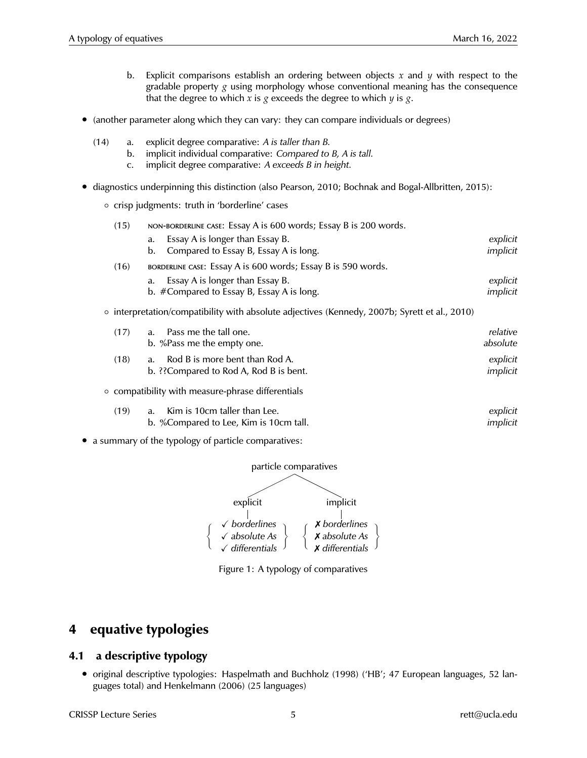- b. Explicit comparisons establish an ordering between objects *x* and *y* with respect to the gradable property  $g$  using morphology whose conventional meaning has the consequence that the degree to which *x* is *g* exceeds the degree to which *y* is *g*.
- (another parameter along which they can vary: they can compare individuals or degrees)
	- (14) a. explicit degree comparative: *A is taller than B.*
		- b. implicit individual comparative: *Compared to B, A is tall.*
		- c. implicit degree comparative: *A exceeds B in height.*
- diagnostics underpinning this distinction (also Pearson, 2010; Bochnak and Bogal-Allbritten, 2015):
	- crisp judgments: truth in 'borderline' cases

| (15) | NON-BORDERLINE CASE: Essay A is 600 words; Essay B is 200 words.                              |          |  |
|------|-----------------------------------------------------------------------------------------------|----------|--|
|      | Essay A is longer than Essay B.<br>a.                                                         | explicit |  |
|      | Compared to Essay B, Essay A is long.<br>b.                                                   | implicit |  |
| (16) | BORDERLINE CASE: ESSAY A is 600 words; Essay B is 590 words.                                  |          |  |
|      | Essay A is longer than Essay B.<br>a.                                                         | explicit |  |
|      | b. #Compared to Essay B, Essay A is long.                                                     | implicit |  |
|      | o interpretation/compatibility with absolute adjectives (Kennedy, 2007b; Syrett et al., 2010) |          |  |

| (17) | Pass me the tall one.<br>a.<br>b. %Pass me the empty one.                            | relative<br>absolute |
|------|--------------------------------------------------------------------------------------|----------------------|
| (18) | Rod B is more bent than Rod A.<br>$a_{-}$<br>b. ?? Compared to Rod A, Rod B is bent. | explicit<br>implicit |
|      | ○ compatibility with measure-phrase differentials                                    |                      |
| (19) | Kim is 10cm taller than Lee.<br>a.                                                   | explicit             |

|  | d. KIIII IS TUCHI taller than Lee.     | expiicit |
|--|----------------------------------------|----------|
|  | b. %Compared to Lee, Kim is 10cm tall. | implicit |
|  |                                        |          |

• a summary of the typology of particle comparatives:



Figure 1: A typology of comparatives

## **4 equative typologies**

### **4.1 a descriptive typology**

• original descriptive typologies: Haspelmath and Buchholz (1998) ('HB'; 47 European languages, 52 languages total) and Henkelmann (2006) (25 languages)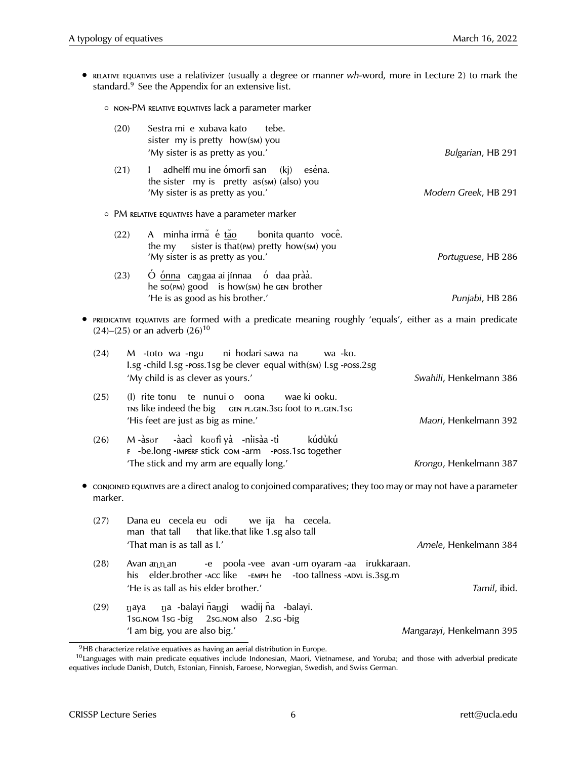- relative equatives use a relativizer (usually a degree or manner *wh-*word, more in Lecture 2) to mark the standard.<sup>9</sup> See the Appendix for an extensive list.
	- non-PM relative equatives lack a parameter marker

| (20)    | Sestra mi e xubava kato<br>tebe.<br>sister my is pretty how(SM) you<br>'My sister is as pretty as you.'                                                                           | Bulgarian, HB 291         |
|---------|-----------------------------------------------------------------------------------------------------------------------------------------------------------------------------------|---------------------------|
| (21)    | adhelfí mu ine ómorfi san (kj) eséna.<br>$\mathbf{L}$<br>the sister my is pretty as(sm) (also) you<br>'My sister is as pretty as you.'                                            | Modern Greek, HB 291      |
|         | • PM RELATIVE EQUATIVES have a parameter marker                                                                                                                                   |                           |
| (22)    | A minha irmã é tão<br>bonita quanto você.<br>sister is that(PM) pretty how(SM) you<br>the my<br>'My sister is as pretty as you.'                                                  | Portuguese, HB 286        |
|         | Ó ónna cangaa ai jínnaa ó daa pràà.<br>(23)<br>he so(PM) good is how(SM) he GEN brother<br>'He is as good as his brother.'                                                        | Punjabi, HB 286           |
|         | • PREDICATIVE EQUATIVES are formed with a predicate meaning roughly 'equals', either as a main predicate<br>$(24)$ – $(25)$ or an adverb $(26)$ <sup>10</sup>                     |                           |
| (24)    | M -toto wa -ngu ni hodari sawa na<br>wa -ko.<br>I.sg -child I.sg -poss.1sg be clever equal with(sm) I.sg -poss.2sg<br>'My child is as clever as yours.'                           | Swahili, Henkelmann 386   |
| (25)    | wae ki ooku.<br>(I) rite tonu te nunui o oona<br>TNS like indeed the big GEN PL.GEN.3sG foot to PL.GEN.1sG<br>'His feet are just as big as mine.'                                 | Maori, Henkelmann 392     |
| (26)    | M-àsor -àacì koofi yà -nìisàa -tì<br>kúdùkú<br>F -be.long -IMPERF stick com -arm -Poss.1sc together<br>'The stick and my arm are equally long.'                                   | Krongo, Henkelmann 387    |
| marker. | • conjoined equatives are a direct analog to conjoined comparatives; they too may or may not have a parameter                                                                     |                           |
| (27)    | Dana eu cecela eu odi we ija ha cecela.<br>man that tall that like.that like 1.sg also tall<br>'That man is as tall as I.'                                                        | Amele, Henkelmann 384     |
| (28)    | -e poola -vee avan -um oyaram -aa irukkaraan.<br>Avan an n an<br>elder.brother -ACC like -EMPH he<br>-too tallness -ADVL is.3sg.m<br>his<br>'He is as tall as his elder brother.' | Tamil, ibid.              |
| (29)    | na -balayi ñangi wadij ña -balayi.<br>naya<br>1sg. NOM 1sg - big 2sg. NOM also 2.sg - big<br>'I am big, you are also big.'                                                        | Mangarayi, Henkelmann 395 |

<sup>&</sup>lt;sup>9</sup>HB characterize relative equatives as having an aerial distribution in Europe.

<sup>&</sup>lt;sup>10</sup>Languages with main predicate equatives include Indonesian, Maori, Vietnamese, and Yoruba; and those with adverbial predicate equatives include Danish, Dutch, Estonian, Finnish, Faroese, Norwegian, Swedish, and Swiss German.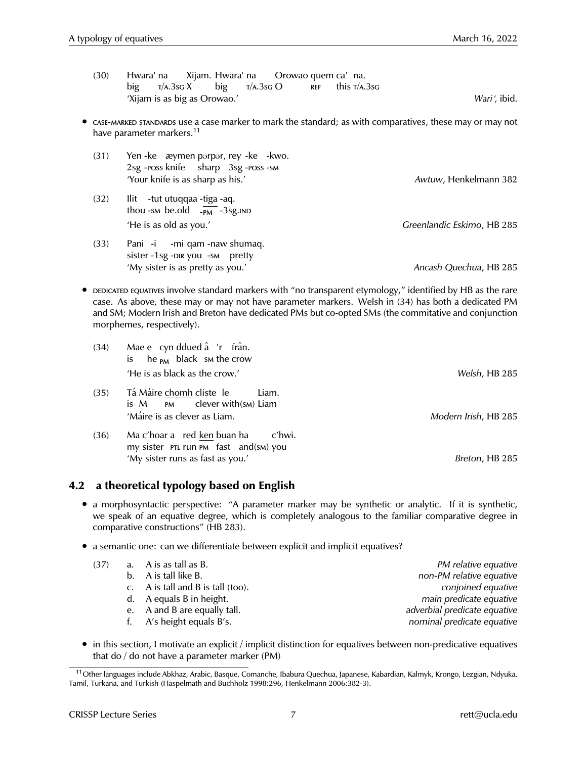- (30) Hwara' na big  $T/A.3$ sg  $X$ Xijam. Hwara' na big  $T/A.3$ sg  $O$ Orowao quem ca na. ref this  $T/A.3$ sg 'Xijam is as big as Orowao.' *Wari*h, ibid.
- case-marked standards use a case marker to mark the standard; as with comparatives, these may or may not have parameter markers.<sup>11</sup>

| (31) | Yen - ke æymen parpar, rey - ke - kwo.<br>2sg-ross knife sharp 3sg-ross-sm       |                            |
|------|----------------------------------------------------------------------------------|----------------------------|
|      | 'Your knife is as sharp as his.'                                                 | Awtuw, Henkelmann 382      |
| (32) | llit - tut utuqqaa - tiga - aq.<br>thou -sm be.old $\overline{P_{PM}}$ -3sg. IND |                            |
|      | 'He is as old as you.'                                                           | Greenlandic Eskimo, HB 285 |
| (33) | Pani -i -mi qam -naw shumaq.<br>sister -1sg -DIR you -SM pretty                  |                            |

'My sister is as pretty as you.' *Ancash Quechua*, HB 285

• DEDICATED EQUATIVES involve standard markers with "no transparent etymology," identified by HB as the rare case. As above, these may or may not have parameter markers. Welsh in (34) has both a dedicated PM and SM; Modern Irish and Breton have dedicated PMs but co-opted SMs (the commitative and conjunction morphemes, respectively).

| (34) | Mae e cyn ddued â 'r frân.<br>is he $\overline{PM}$ black sm the crow       |                      |
|------|-----------------------------------------------------------------------------|----------------------|
|      | 'He is as black as the crow.'                                               | Welsh, HB 285        |
| (35) | Tá Máire chomh cliste le<br>Liam.<br>clever with(sм) Liam<br>$is M$ $PM$    |                      |
|      | 'Máire is as clever as Liam.                                                | Modern Irish, HB 285 |
| (36) | Ma c'hoar a red ken buan ha c'hwi.<br>my sister PTL run PM fast and(SM) you |                      |
|      | 'My sister runs as fast as you.'                                            | Breton, HB 285       |

### **4.2 a theoretical typology based on English**

- a morphosyntactic perspective: "A parameter marker may be synthetic or analytic. If it is synthetic, we speak of an equative degree, which is completely analogous to the familiar comparative degree in comparative constructions" (HB 283).
- a semantic one: can we differentiate between explicit and implicit equatives?

| (37) | a. A is as tall as B.                | PM relative equative         |
|------|--------------------------------------|------------------------------|
|      | b. A is tall like B.                 | non-PM relative equative     |
|      | c. A is tall and B is tall $(100)$ . | conjoined equative           |
|      | d. A equals B in height.             | main predicate equative      |
|      | e. A and B are equally tall.         | adverbial predicate equative |
|      | f. A's height equals B's.            | nominal predicate equative   |
|      |                                      |                              |

• in this section, I motivate an explicit / implicit distinction for equatives between non-predicative equatives that do / do not have a parameter marker (PM)

<sup>&</sup>lt;sup>11</sup>Other languages include Abkhaz, Arabic, Basque, Comanche, Ibabura Quechua, Japanese, Kabardian, Kalmyk, Krongo, Lezgian, Ndyuka, Tamil, Turkana, and Turkish (Haspelmath and Buchholz 1998:296, Henkelmann 2006:382-3).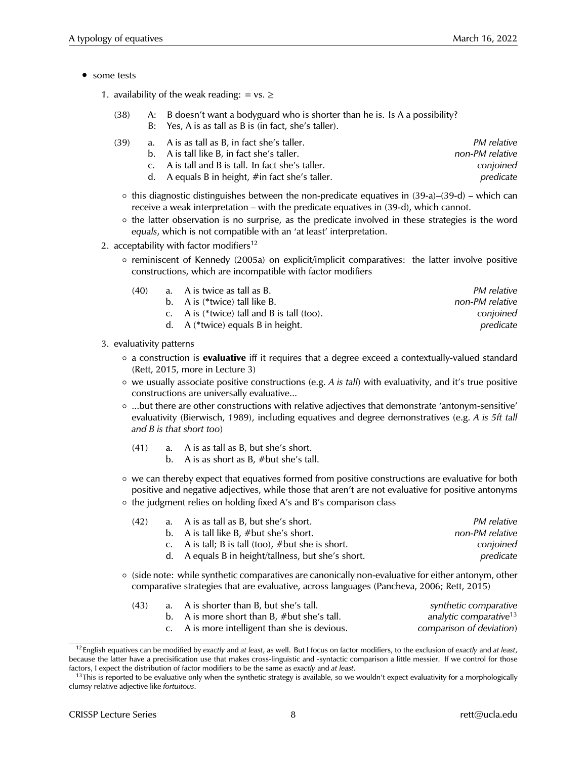- some tests
	- 1. availability of the weak reading: = vs.  $\ge$ 
		- (38) A: B doesn't want a bodyguard who is shorter than he is. Is A a possibility? B: Yes, A is as tall as B is (in fact, she's taller).

|  | PM relative                                                                                                                                                                                           |
|--|-------------------------------------------------------------------------------------------------------------------------------------------------------------------------------------------------------|
|  | non-PM relative                                                                                                                                                                                       |
|  | conjoined                                                                                                                                                                                             |
|  | predicate                                                                                                                                                                                             |
|  | a. A is as tall as B, in fact she's taller.<br>b. A is tall like B, in fact she's taller.<br>c. A is tall and B is tall. In fact she's taller.<br>d. A equals B in height, $\#$ in fact she's taller. |

- $\circ$  this diagnostic distinguishes between the non-predicate equatives in (39-a)–(39-d) which can receive a weak interpretation – with the predicate equatives in (39-d), which cannot.
- the latter observation is no surprise, as the predicate involved in these strategies is the word *equals*, which is not compatible with an 'at least' interpretation.
- 2. acceptability with factor modifiers<sup>12</sup>
	- reminiscent of Kennedy (2005a) on explicit/implicit comparatives: the latter involve positive constructions, which are incompatible with factor modifiers

| (40) | a. A is twice as tall as B.                     | <i>PM relative</i> |
|------|-------------------------------------------------|--------------------|
|      | b. A is (*twice) tall like B.                   | non-PM relative    |
|      | c. A is $(*twice)$ tall and B is tall $(too)$ . | conjoined          |
|      | d. A (*twice) equals B in height.               | predicate          |
|      |                                                 |                    |

- 3. evaluativity patterns
	- a construction is **evaluative** iff it requires that a degree exceed a contextually-valued standard (Rett, 2015, more in Lecture 3)
	- we usually associate positive constructions (e.g. *A is tall*) with evaluativity, and it's true positive constructions are universally evaluative...
	- ...but there are other constructions with relative adjectives that demonstrate 'antonym-sensitive' evaluativity (Bierwisch, 1989), including equatives and degree demonstratives (e.g. *A is 5ft tall and B is that short too*)
		- (41) a. A is as tall as B, but she's short.
			- b. A is as short as B, #but she's tall.
	- we can thereby expect that equatives formed from positive constructions are evaluative for both positive and negative adjectives, while those that aren't are not evaluative for positive antonyms ◦ the judgment relies on holding fixed A's and B's comparison class

| (42) | a. A is as tall as B, but she's short.              | PM relative     |
|------|-----------------------------------------------------|-----------------|
|      | b. A is tall like B, $#but she's short.$            | non-PM relative |
|      | c. A is tall; B is tall (too), $#but$ she is short. | conjoined       |
|      | d. A equals B in height/tallness, but she's short.  | predicate       |

◦ (side note: while synthetic comparatives are canonically non-evaluative for either antonym, other comparative strategies that are evaluative, across languages (Pancheva, 2006; Rett, 2015)

| (43) | a. A is shorter than B, but she's tall.          | synthetic comparative              |
|------|--------------------------------------------------|------------------------------------|
|      | b. A is more short than $B$ , $#but$ she's tall. | analytic comparative <sup>13</sup> |
|      | c. A is more intelligent than she is devious.    | comparison of deviation)           |

<sup>12</sup>English equatives can be modified by *exactly* and *at least*, as well. But I focus on factor modifiers, to the exclusion of *exactly* and *at least*, because the latter have a precisification use that makes cross-linguistic and -syntactic comparison a little messier. If we control for those factors, I expect the distribution of factor modifiers to be the same as *exactly* and *at least*.

 $13$ This is reported to be evaluative only when the synthetic strategy is available, so we wouldn't expect evaluativity for a morphologically clumsy relative adjective like *fortuitous*.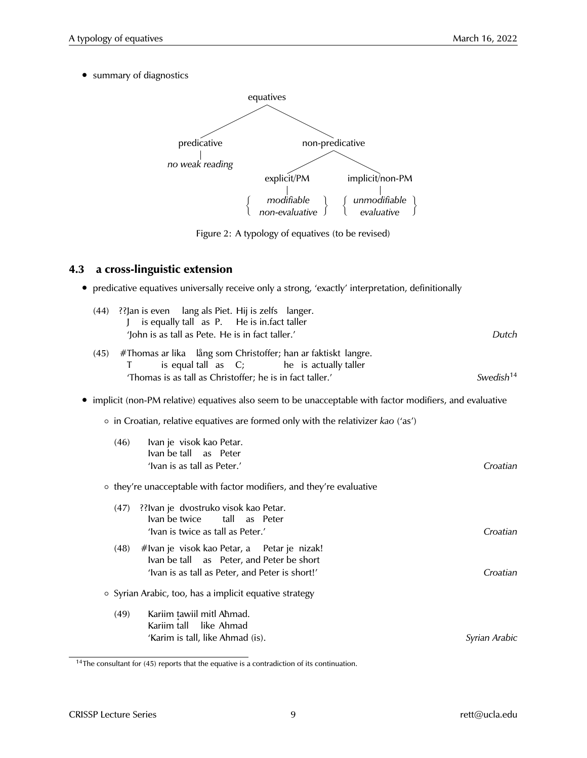• summary of diagnostics



Figure 2: A typology of equatives (to be revised)

### **4.3 a cross-linguistic extension**

|  | • predicative equatives universally receive only a strong, 'exactly' interpretation, definitionally |  |  |  |  |  |  |  |  |  |
|--|-----------------------------------------------------------------------------------------------------|--|--|--|--|--|--|--|--|--|
|--|-----------------------------------------------------------------------------------------------------|--|--|--|--|--|--|--|--|--|

|      | (44) ?? Jan is even lang als Piet. Hij is zelfs langer.<br>is equally tall as P. He is in. fact taller<br>'John is as tall as Pete. He is in fact taller.'                   | Dutch                 |
|------|------------------------------------------------------------------------------------------------------------------------------------------------------------------------------|-----------------------|
| (45) | #Thomas ar lika lång som Christoffer; han ar faktiskt langre.<br>is equal tall as C; he is actually taller<br>T<br>'Thomas is as tall as Christoffer; he is in fact taller.' | Swedish <sup>14</sup> |
|      | • implicit (non-PM relative) equatives also seem to be unacceptable with factor modifiers, and evaluative                                                                    |                       |
|      | • in Croatian, relative equatives are formed only with the relativizer kao ('as')                                                                                            |                       |
|      | (46)<br>Ivan je visok kao Petar.<br>Ivan be tall as Peter<br>'Ivan is as tall as Peter.'                                                                                     | Croatian              |
|      | o they're unacceptable with factor modifiers, and they're evaluative                                                                                                         |                       |
|      | (47) ??Ivan je dvostruko visok kao Petar.<br>Ivan be twice<br>tall<br>as Peter<br>'Ivan is twice as tall as Peter.'                                                          | Croatian              |
|      | #Ivan je visok kao Petar, a Petar je nizak!<br>(48)<br>Ivan be tall as Peter, and Peter be short<br>'Ivan is as tall as Peter, and Peter is short!'                          | Croatian              |
|      | ○ Syrian Arabic, too, has a implicit equative strategy                                                                                                                       |                       |
|      | Kariim tawiil mitl Ahmad.<br>(49)<br>Kariim tall like Ahmad<br>'Karim is tall, like Ahmad (is).                                                                              | Syrian Arabic         |

 $14$ The consultant for (45) reports that the equative is a contradiction of its continuation.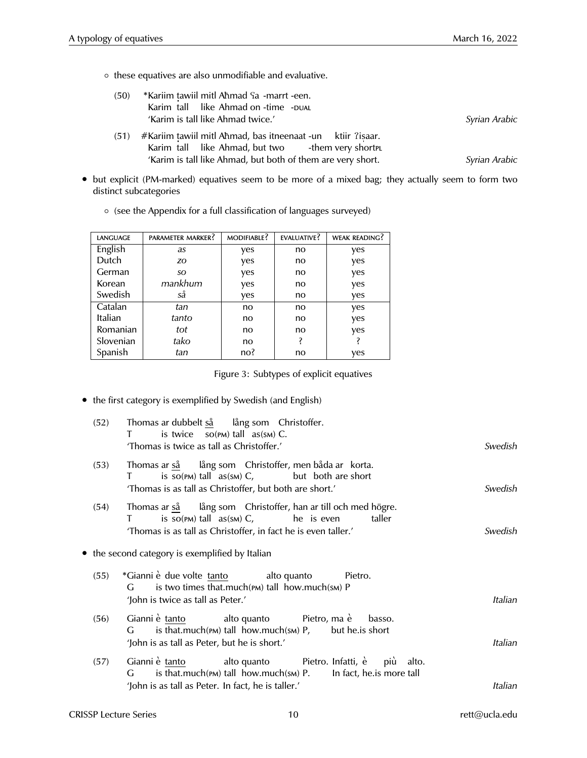◦ these equatives are also unmodifiable and evaluative.

| (50) | *Kariim tawiil mitl Ahmad Sa -marrt -een.                                                                         |               |
|------|-------------------------------------------------------------------------------------------------------------------|---------------|
|      | Karim tall like Ahmad on -time - PUAL                                                                             |               |
|      | 'Karim is tall like Ahmad twice.'                                                                                 | Syrian Arabic |
| (51) | #Kariim tawiil mitl Ahmad, bas itneenaat -un ktiir ?iṣaar.<br>Karim tall like Ahmad, but two - them very short pu |               |
|      | 'Karim is tall like Ahmad, but both of them are very short.                                                       | Syrian Arabic |

• but explicit (PM-marked) equatives seem to be more of a mixed bag; they actually seem to form two distinct subcategories

| LANGUAGE  | PARAMETER MARKER? | MODIFIABLE? | EVALUATIVE? | <b>WEAK READING?</b> |
|-----------|-------------------|-------------|-------------|----------------------|
| English   | as                | yes         | no          | yes                  |
| Dutch     | ZO.               | yes         | no          | yes                  |
| German    | SO.               | yes         | no          | yes                  |
| Korean    | mankhum           | yes         | no          | yes                  |
| Swedish   | så                | yes         | no          | yes                  |
| Catalan   | tan               | no          | no          | yes                  |
| Italian   | tanto             | no          | no          | yes                  |
| Romanian  | tot               | no          | no          | yes                  |
| Slovenian | tako              | no          | ś           | ś                    |
| Spanish   | tan               | no?         | no          | yes                  |

◦ (see the Appendix for a full classification of languages surveyed)

Figure 3: Subtypes of explicit equatives

• the first category is exemplified by Swedish (and English)

| (52) | Thomas ar dubbelt så lång som Christoffer.<br>T is twice $so(pM)$ tall $as(sM)$ C.<br>'Thomas is twice as tall as Christoffer.'                                                      | Swedish |
|------|--------------------------------------------------------------------------------------------------------------------------------------------------------------------------------------|---------|
| (53) | Thomas ar så lång som Christoffer, men båda ar korta.<br>is $so(pM)$ tall $as(sM)$ C, but both are short<br>$\mathbf{T}$<br>'Thomas is as tall as Christoffer, but both are short.'  | Swedish |
| (54) | Thomas ar så lång som Christoffer, han ar till och med högre.<br>is $so(pM)$ tall $as(sM)$ C, he is even<br>taller<br>'Thomas is as tall as Christoffer, in fact he is even taller.' | Swedish |
|      | • the second category is exemplified by Italian                                                                                                                                      |         |
| (55) | *Gianni è due volte tanto alto quanto Pietro.<br>is two times that.much(PM) tall how.much(sм) P<br>G.<br>'John is twice as tall as Peter.'                                           | Italian |
| (56) | Gianni è tanto di alto quanto Pietro, ma è basso.<br>$G$ is that.much(PM) tall how.much(SM) $P$ , but he. is short<br>'John is as tall as Peter, but he is short.'                   | Italian |
| (57) | Gianni è tanto di alto quanto Pietro. Infatti, è più alto.<br>$G$ is that much(PM) tall how much(SM) P. In fact, he is more tall                                                     | Italian |
|      | 'John is as tall as Peter. In fact, he is taller.'                                                                                                                                   |         |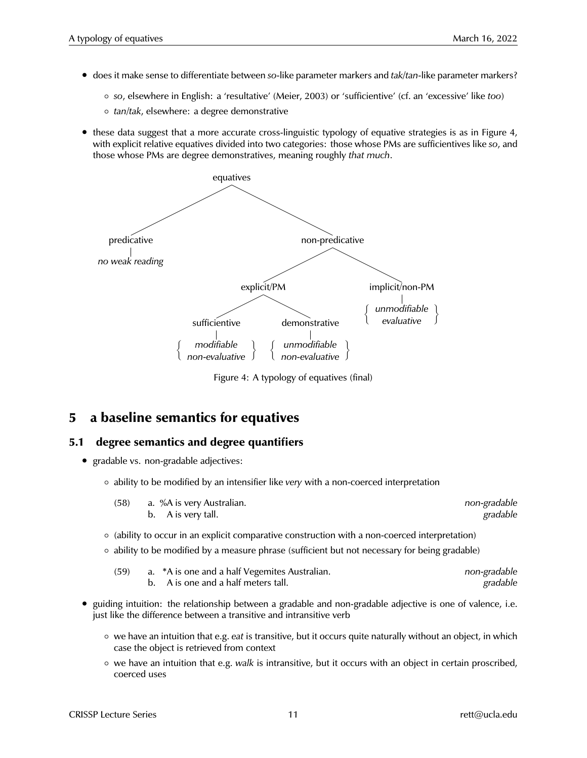- does it make sense to differentiate between *so*-like parameter markers and *tak/tan*-like parameter markers?
	- *so*, elsewhere in English: a 'resultative' (Meier, 2003) or 'sufficientive' (cf. an 'excessive' like *too*)
	- *tan/tak*, elsewhere: a degree demonstrative
- these data suggest that a more accurate cross-linguistic typology of equative strategies is as in Figure 4, with explicit relative equatives divided into two categories: those whose PMs are sufficientives like *so*, and those whose PMs are degree demonstratives, meaning roughly *that much*.



Figure 4: A typology of equatives (final)

## **5 a baseline semantics for equatives**

#### **5.1 degree semantics and degree quantifiers**

- gradable vs. non-gradable adjectives:
	- ability to be modified by an intensifier like *very* with a non-coerced interpretation

| (58) | a.  %A is very Australian. | non-gradable |
|------|----------------------------|--------------|
|      | b. A is very tall.         | gradable     |

- (ability to occur in an explicit comparative construction with a non-coerced interpretation)
- ability to be modified by a measure phrase (sufficient but not necessary for being gradable)

| (59) | a. *A is one and a half Vegemites Australian. | non-gradable |
|------|-----------------------------------------------|--------------|
|      | b. A is one and a half meters tall.           | gradable     |

- guiding intuition: the relationship between a gradable and non-gradable adjective is one of valence, i.e. just like the difference between a transitive and intransitive verb
	- we have an intuition that e.g. *eat* is transitive, but it occurs quite naturally without an object, in which case the object is retrieved from context
	- we have an intuition that e.g. *walk* is intransitive, but it occurs with an object in certain proscribed, coerced uses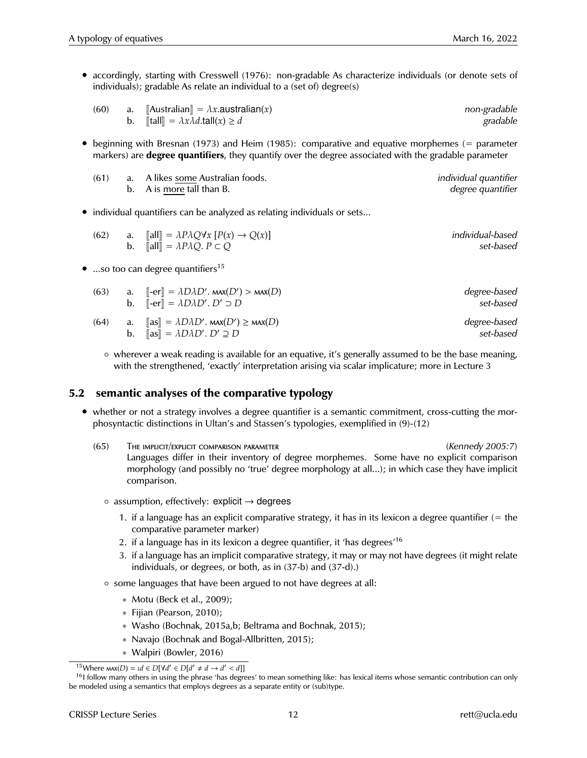• accordingly, starting with Cresswell (1976): non-gradable As characterize individuals (or denote sets of individuals); gradable As relate an individual to a (set of) degree(s)

| (60) | a. | $\llbracket$ Australian $\rrbracket = \lambda x$ .australian(x)                          | non-gradable |
|------|----|------------------------------------------------------------------------------------------|--------------|
|      |    | b. $\llbracket \text{tall} \rrbracket = \lambda x \lambda d \cdot \text{tall}(x) \geq d$ | gradable     |

• beginning with Bresnan (1973) and Heim (1985): comparative and equative morphemes (= parameter markers) are **degree quantifiers**, they quantify over the degree associated with the gradable parameter

| (61) | a. A likes some Australian foods. | individual quantifier |
|------|-----------------------------------|-----------------------|
|      | b. A is more tall than B.         | degree quantifier     |

• individual quantifiers can be analyzed as relating individuals or sets...

| (62) | a. $\ \text{all}\  = \lambda P \lambda Q \forall x [P(x) \rightarrow Q(x)]$ | individual-based |
|------|-----------------------------------------------------------------------------|------------------|
|      | b. $\ \text{all}\  = \lambda P \lambda Q$ . $P \subset Q$                   | set-based        |

...so too can degree quantifiers<sup>15</sup>

| (63) | a. $\left\  -\text{er} \right\  = \lambda D \lambda D'$ . MAX $(D')$ > MAX $(D)$<br>b. $\lbrack\!\lbrack -\text{er} \rbrack\!\rbrack = \lambda D \lambda D'$ . $D' \supset D$ | degree-based<br>set-based |
|------|-------------------------------------------------------------------------------------------------------------------------------------------------------------------------------|---------------------------|
| (64) | a. $\ \text{as}\  = \lambda D \lambda D'$ . $\text{max}(D') \ge \text{max}(D)$<br>b. $\ \text{as}\  = \lambda D \lambda D'. D' \supseteq D$                                   | degree-based<br>set-based |

◦ wherever a weak reading is available for an equative, it's generally assumed to be the base meaning, with the strengthened, 'exactly' interpretation arising via scalar implicature; more in Lecture 3

#### **5.2 semantic analyses of the comparative typology**

- whether or not a strategy involves a degree quantifier is a semantic commitment, cross-cutting the morphosyntactic distinctions in Ultan's and Stassen's typologies, exemplified in (9)-(12)
	- (65) The implicit/explicit comparison parameter *(Kennedy 2005:7)* Languages differ in their inventory of degree morphemes. Some have no explicit comparison morphology (and possibly no 'true' degree morphology at all...); in which case they have implicit comparison.
		- $\circ$  assumption, effectively: explicit  $\rightarrow$  degrees
			- 1. if a language has an explicit comparative strategy, it has in its lexicon a degree quantifier (= the comparative parameter marker)
			- 2. if a language has in its lexicon a degree quantifier, it 'has degrees'<sup>16</sup>
			- 3. if a language has an implicit comparative strategy, it may or may not have degrees (it might relate individuals, or degrees, or both, as in (37-b) and (37-d).)
		- some languages that have been argued to not have degrees at all:
			- ∗ Motu (Beck et al., 2009);
			- ∗ Fijian (Pearson, 2010);
			- ∗ Washo (Bochnak, 2015a,b; Beltrama and Bochnak, 2015);
			- ∗ Navajo (Bochnak and Bogal-Allbritten, 2015);
			- ∗ Walpiri (Bowler, 2016)

<sup>&</sup>lt;sup>15</sup>Where  $\text{max}(D) = \iota d \in D[\forall d' \in D[d' \neq d \rightarrow d' < d]]$ 

 $16$  follow many others in using the phrase 'has degrees' to mean something like: has lexical items whose semantic contribution can only be modeled using a semantics that employs degrees as a separate entity or (sub)type.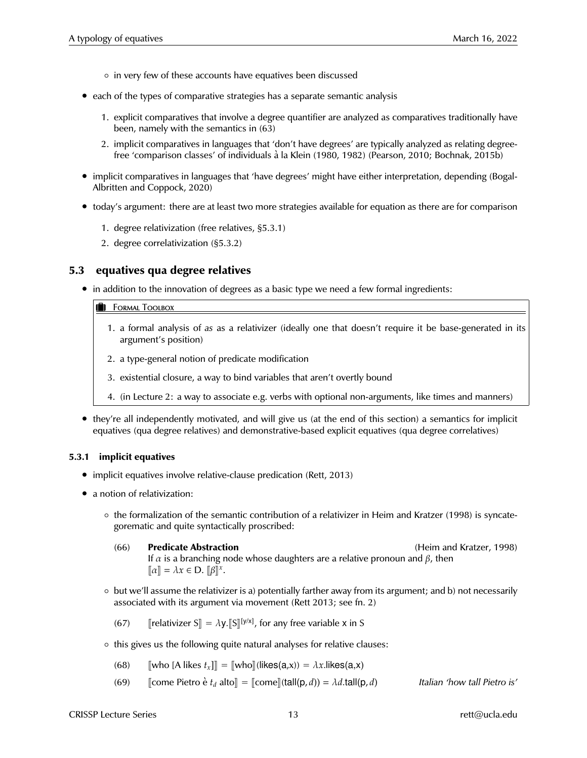- in very few of these accounts have equatives been discussed
- each of the types of comparative strategies has a separate semantic analysis
	- 1. explicit comparatives that involve a degree quantifier are analyzed as comparatives traditionally have been, namely with the semantics in (63)
	- 2. implicit comparatives in languages that 'don't have degrees' are typically analyzed as relating degreefree 'comparison classes' of individuals à la Klein (1980, 1982) (Pearson, 2010; Bochnak, 2015b)
- implicit comparatives in languages that 'have degrees' might have either interpretation, depending (Bogal-Albritten and Coppock, 2020)
- today's argument: there are at least two more strategies available for equation as there are for comparison
	- 1. degree relativization (free relatives, §5.3.1)
	- 2. degree correlativization (§5.3.2)

#### **5.3 equatives qua degree relatives**

• in addition to the innovation of degrees as a basic type we need a few formal ingredients:

#### **B** Formal Toolbox

- 1. a formal analysis of *as* as a relativizer (ideally one that doesn't require it be base-generated in its argument's position)
- 2. a type-general notion of predicate modification
- 3. existential closure, a way to bind variables that aren't overtly bound
- 4. (in Lecture 2: a way to associate e.g. verbs with optional non-arguments, like times and manners)
- they're all independently motivated, and will give us (at the end of this section) a semantics for implicit equatives (qua degree relatives) and demonstrative-based explicit equatives (qua degree correlatives)

#### **5.3.1 implicit equatives**

- implicit equatives involve relative-clause predication (Rett, 2013)
- a notion of relativization:
	- the formalization of the semantic contribution of a relativizer in Heim and Kratzer (1998) is syncategorematic and quite syntactically proscribed:
		- (66) **Predicate Abstraction** (Heim and Kratzer, 1998) If  $\alpha$  is a branching node whose daughters are a relative pronoun and  $\beta$ , then  $\llbracket \alpha \rrbracket = \lambda x \in \mathbf{D}. \; \llbracket \beta \rrbracket^x.$
	- but we'll assume the relativizer is a) potentially farther away from its argument; and b) not necessarily associated with its argument via movement (Rett 2013; see fn. 2)

(67) [relativizer S] =  $\lambda$ y.[S]<sup>[y/x]</sup>, for any free variable x in S

◦ this gives us the following quite natural analyses for relative clauses:

(68) [who [A likes 
$$
t_x
$$
]] = [who] (likes(a,x)) =  $\lambda x$ .likes(a,x)

(69) <sup>J</sup>come Pietro e` *<sup>t</sup><sup>d</sup>* alto<sup>K</sup> <sup>=</sup> <sup>J</sup>comeK(tall(p, *<sup>d</sup>*)) <sup>=</sup> <sup>λ</sup>*d*.tall(p, *<sup>d</sup>*) *Italian 'how tall Pietro is'*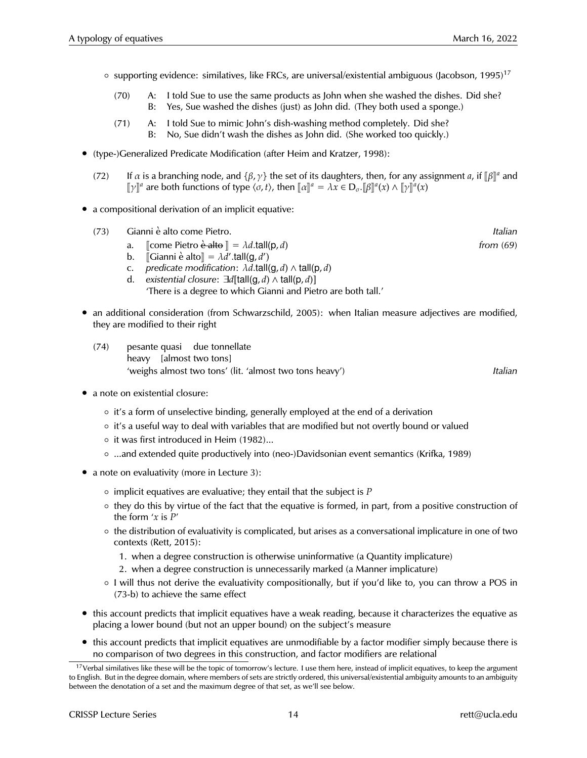- $\circ$  supporting evidence: similatives, like FRCs, are universal/existential ambiguous (Jacobson, 1995)<sup>17</sup>
	- (70) A: I told Sue to use the same products as John when she washed the dishes. Did she? B: Yes, Sue washed the dishes (just) as John did. (They both used a sponge.)
	- (71) A: I told Sue to mimic John's dish-washing method completely. Did she? B: No, Sue didn't wash the dishes as John did. (She worked too quickly.)
- (type-)Generalized Predicate Modification (after Heim and Kratzer, 1998):
	- (72) If *α* is a branching node, and {β, γ} the set of its daughters, then, for any assignment *a*, if  $[\beta]]^a$  and  $[\gamma]^a$  and  $[\gamma]^a$  and  $[\gamma]^a$  $[\![\gamma]\!]^a$  are both functions of type  $\langle \sigma, t \rangle$ , then  $[\![\alpha]\!]^a = \lambda x \in D_{\sigma}$ .  $[\![\beta]\!]^a(x) \wedge [\![\gamma]\!]^a(x)$
- a compositional derivation of an implicit equative:
	- (73) Gianni e alto come Pietro. ` *Italian*
		- a.  $\lbrack$  [come Pietro <del>è alto</del>  $\rrbracket = \lambda d$ .tall(p, *d*) *from* (69) *from* (69)<br>b.  $\lbrack$   $\lbrack$   $\lbrack$   $\lbrack$   $\lbrack$   $\lbrack$   $\lbrack$   $\lbrack$   $\lbrack$   $\lbrack$   $\lbrack$   $\lbrack$   $\lbrack$   $\lbrack$   $\lbrack$   $\lbrack$   $\lbrack$   $\lbrack$   $\lbrack$   $\lbrack$
		- b.  $\[\mathsf{G} \mathsf{i} \mathsf{a} \mathsf{m} \mathsf{n} \mathsf{i} \mathsf{e} \mathsf{a} \mathsf{d} \mathsf{t} \mathsf{o} \] = \lambda \vec{d}'.\mathsf{t} \mathsf{a} \mathsf{l} (\mathsf{g}, d')$
		- c. *predicate modification*: λ*d*.tall(g, *d*) ∧ tall(p, *d*)
		- d. *existential closure*: ∃*d*[tall(g, *d*) ∧ tall(p, *d*)] 'There is a degree to which Gianni and Pietro are both tall.'
- an additional consideration (from Schwarzschild, 2005): when Italian measure adjectives are modified, they are modified to their right
	- (74) pesante quasi due tonnellate heavy [almost two tons] 'weighs almost two tons' (lit. 'almost two tons heavy') *Italian*
- a note on existential closure:
	- it's a form of unselective binding, generally employed at the end of a derivation
	- it's a useful way to deal with variables that are modified but not overtly bound or valued
	- it was first introduced in Heim (1982)...
	- ...and extended quite productively into (neo-)Davidsonian event semantics (Krifka, 1989)
- a note on evaluativity (more in Lecture 3):
	- implicit equatives are evaluative; they entail that the subject is *P*
	- they do this by virtue of the fact that the equative is formed, in part, from a positive construction of the form '*x* is *P*'
	- the distribution of evaluativity is complicated, but arises as a conversational implicature in one of two contexts (Rett, 2015):
		- 1. when a degree construction is otherwise uninformative (a Quantity implicature)
		- 2. when a degree construction is unnecessarily marked (a Manner implicature)
	- I will thus not derive the evaluativity compositionally, but if you'd like to, you can throw a POS in (73-b) to achieve the same effect
- this account predicts that implicit equatives have a weak reading, because it characterizes the equative as placing a lower bound (but not an upper bound) on the subject's measure
- this account predicts that implicit equatives are unmodifiable by a factor modifier simply because there is no comparison of two degrees in this construction, and factor modifiers are relational

<sup>&</sup>lt;sup>17</sup>Verbal similatives like these will be the topic of tomorrow's lecture. I use them here, instead of implicit equatives, to keep the argument to English. But in the degree domain, where members of sets are strictly ordered, this universal/existential ambiguity amounts to an ambiguity between the denotation of a set and the maximum degree of that set, as we'll see below.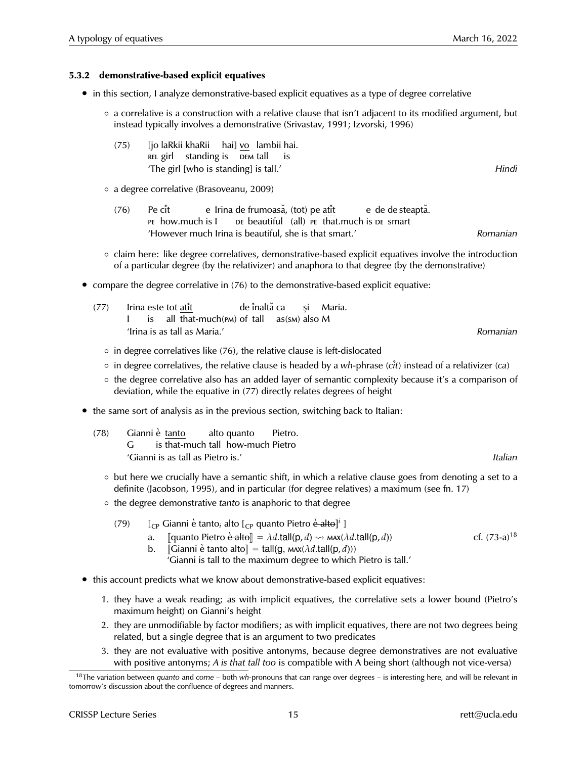#### **5.3.2 demonstrative-based explicit equatives**

- in this section, I analyze demonstrative-based explicit equatives as a type of degree correlative
	- a correlative is a construction with a relative clause that isn't adjacent to its modified argument, but instead typically involves a demonstrative (Srivastav, 1991; Izvorski, 1996)
		- $(75)$ REL girl standing is DEM tall laRkii khaRii hai] <u>vo</u> lambii hai. is 'The girl [who is standing] is tall.' *Hindi*
	- a degree correlative (Brasoveanu, 2009)
		- $(76)$ pe how.much is I Pe cît e Irina de frumoasă, (tot) pe <u>atît</u> DE beautiful (all) PE that.much is DE smart e de de steaptă. 'However much Irina is beautiful, she is that smart.' *Romanian*
	- claim here: like degree correlatives, demonstrative-based explicit equatives involve the introduction of a particular degree (by the relativizer) and anaphora to that degree (by the demonstrative)
- compare the degree correlative in (76) to the demonstrative-based explicit equative:

| (77) |  | Irina este tot atît                                                               |  |  |  |          |
|------|--|-----------------------------------------------------------------------------------|--|--|--|----------|
|      |  | $\blacksquare$ is all that-much( $\blacksquare$ ) of tall as( $\blacksquare$ so M |  |  |  |          |
|      |  | 'Irina is as tall as Maria.'                                                      |  |  |  | Romanian |

- in degree correlatives like (76), the relative clause is left-dislocated
- in degree correlatives, the relative clause is headed by a *wh-*phrase (*c*ˆ*it*) instead of a relativizer (*ca*)
- the degree correlative also has an added layer of semantic complexity because it's a comparison of deviation, while the equative in (77) directly relates degrees of height
- the same sort of analysis as in the previous section, switching back to Italian:
	- (78) Gianni è tanto G is that-much tall how-much Pietro alto quanto Pietro. 'Gianni is as tall as Pietro is.' *Italian*
		- but here we crucially have a semantic shift, in which a relative clause goes from denoting a set to a definite (Jacobson, 1995), and in particular (for degree relatives) a maximum (see fn. 17)
		- the degree demonstrative *tanto* is anaphoric to that degree
			- (79)  $\left[ \begin{array}{cc} \left[ \begin{array}{cc} C & \text{Gamma} \end{array} \right] & \text{Gamma} \end{array} \right]$  alto  $\left[ \begin{array}{cc} C & \text{P} \end{array} \right]$  quanto Pietro  $\frac{\dot{c}}{c}$  alto  $\left[ \begin{array}{cc} i & \text{N} \end{array} \right]$ 
				- a. [[quanto Pietro  $\dot{e}$  alto]] =  $\lambda d$ .tall(p, *d*)  $\leadsto$   $\text{max}(\lambda d \text{.tall}(p, d))$  cf. (73-a)<sup>18</sup><br>b. [[Gianni  $\dot{e}$  tanto alto]] = tall(g,  $\text{max}(\lambda d \text{.tall}(p, d)))$
				- $\llbracket$ Gianni è tanto alto $\llbracket = \text{tall}(g, \text{max}(\lambda d.\text{tall}(p, d)))$ 
					- 'Gianni is tall to the maximum degree to which Pietro is tall.'
- this account predicts what we know about demonstrative-based explicit equatives:
	- 1. they have a weak reading; as with implicit equatives, the correlative sets a lower bound (Pietro's maximum height) on Gianni's height
	- 2. they are unmodifiable by factor modifiers; as with implicit equatives, there are not two degrees being related, but a single degree that is an argument to two predicates
	- 3. they are not evaluative with positive antonyms, because degree demonstratives are not evaluative with positive antonyms; *A is that tall too* is compatible with A being short (although not vice-versa)

<sup>18</sup>The variation between *quanto* and *come* – both *wh-*pronouns that can range over degrees – is interesting here, and will be relevant in tomorrow's discussion about the confluence of degrees and manners.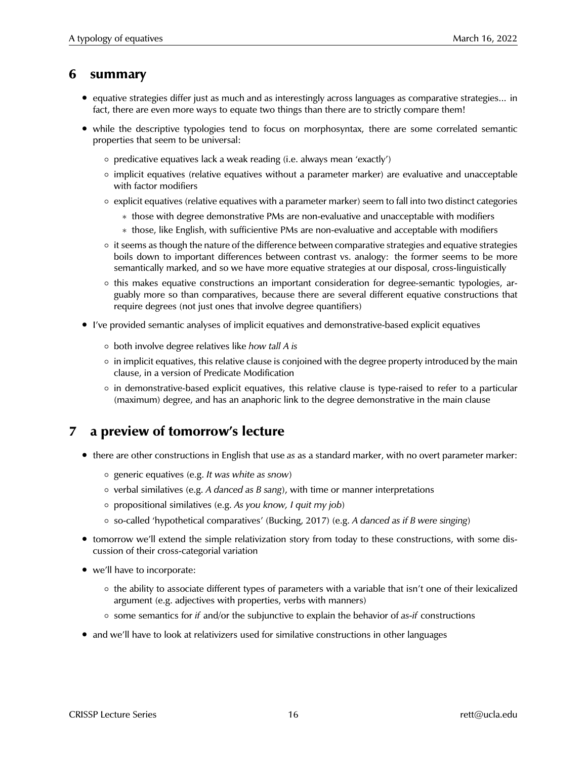### **6 summary**

- equative strategies differ just as much and as interestingly across languages as comparative strategies... in fact, there are even more ways to equate two things than there are to strictly compare them!
- while the descriptive typologies tend to focus on morphosyntax, there are some correlated semantic properties that seem to be universal:
	- predicative equatives lack a weak reading (i.e. always mean 'exactly')
	- implicit equatives (relative equatives without a parameter marker) are evaluative and unacceptable with factor modifiers
	- explicit equatives (relative equatives with a parameter marker) seem to fall into two distinct categories
		- ∗ those with degree demonstrative PMs are non-evaluative and unacceptable with modifiers
		- ∗ those, like English, with sufficientive PMs are non-evaluative and acceptable with modifiers
	- it seems as though the nature of the difference between comparative strategies and equative strategies boils down to important differences between contrast vs. analogy: the former seems to be more semantically marked, and so we have more equative strategies at our disposal, cross-linguistically
	- this makes equative constructions an important consideration for degree-semantic typologies, arguably more so than comparatives, because there are several different equative constructions that require degrees (not just ones that involve degree quantifiers)
- I've provided semantic analyses of implicit equatives and demonstrative-based explicit equatives
	- both involve degree relatives like *how tall A is*
	- in implicit equatives, this relative clause is conjoined with the degree property introduced by the main clause, in a version of Predicate Modification
	- in demonstrative-based explicit equatives, this relative clause is type-raised to refer to a particular (maximum) degree, and has an anaphoric link to the degree demonstrative in the main clause

## **7 a preview of tomorrow's lecture**

- there are other constructions in English that use *as* as a standard marker, with no overt parameter marker:
	- generic equatives (e.g. *It was white as snow*)
	- verbal similatives (e.g. *A danced as B sang*), with time or manner interpretations
	- propositional similatives (e.g. *As you know, I quit my job*)
	- so-called 'hypothetical comparatives' (Bucking, 2017) (e.g. *A danced as if B were singing*)
- tomorrow we'll extend the simple relativization story from today to these constructions, with some discussion of their cross-categorial variation
- we'll have to incorporate:
	- the ability to associate different types of parameters with a variable that isn't one of their lexicalized argument (e.g. adjectives with properties, verbs with manners)
	- some semantics for *if* and/or the subjunctive to explain the behavior of *as-if* constructions
- and we'll have to look at relativizers used for similative constructions in other languages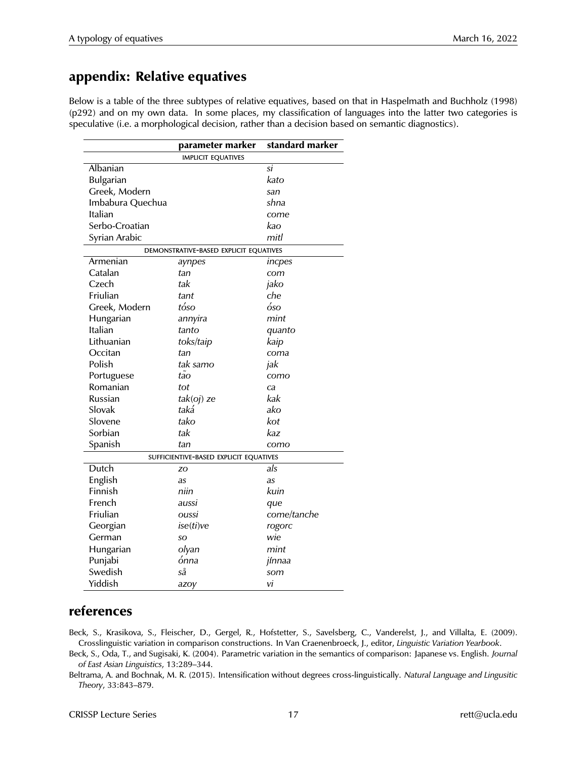## **appendix: Relative equatives**

Below is a table of the three subtypes of relative equatives, based on that in Haspelmath and Buchholz (1998) (p292) and on my own data. In some places, my classification of languages into the latter two categories is speculative (i.e. a morphological decision, rather than a decision based on semantic diagnostics).

|                                        | parameter marker                       | standard marker |  |  |  |  |  |
|----------------------------------------|----------------------------------------|-----------------|--|--|--|--|--|
| <b>IMPLICIT EQUATIVES</b>              |                                        |                 |  |  |  |  |  |
| Albanian                               |                                        | si              |  |  |  |  |  |
| Bulgarian                              |                                        | kato            |  |  |  |  |  |
| Greek, Modern                          |                                        | san             |  |  |  |  |  |
| Imbabura Quechua                       |                                        | shna            |  |  |  |  |  |
| Italian                                |                                        | come            |  |  |  |  |  |
| Serbo-Croatian                         |                                        | kao             |  |  |  |  |  |
| Syrian Arabic                          |                                        | mitl            |  |  |  |  |  |
| DEMONSTRATIVE-BASED EXPLICIT EQUATIVES |                                        |                 |  |  |  |  |  |
| Armenian                               | aynpes                                 | incpes          |  |  |  |  |  |
| Catalan                                | tan                                    | com             |  |  |  |  |  |
| Czech                                  | tak                                    | jako            |  |  |  |  |  |
| Friulian                               | tant                                   | che             |  |  |  |  |  |
| Greek, Modern                          | tóso                                   | óso             |  |  |  |  |  |
| Hungarian                              | annyira                                | mint            |  |  |  |  |  |
| Italian                                | tanto                                  | quanto          |  |  |  |  |  |
| Lithuanian                             | toks/taip                              | kaip            |  |  |  |  |  |
| Occitan                                | tan                                    | coma            |  |  |  |  |  |
| Polish                                 | tak samo                               | jak             |  |  |  |  |  |
| Portuguese                             | tao                                    | como            |  |  |  |  |  |
| Romanian                               | tot                                    | ca              |  |  |  |  |  |
| Russian                                | $tak(oj)$ ze                           | kak             |  |  |  |  |  |
| Slovak                                 | taká                                   | ako             |  |  |  |  |  |
| Slovene                                | tako                                   | kot             |  |  |  |  |  |
| Sorbian                                | tak                                    | kaz             |  |  |  |  |  |
| Spanish                                | tan                                    | como            |  |  |  |  |  |
|                                        | SUFFICIENTIVE-BASED EXPLICIT EQUATIVES |                 |  |  |  |  |  |
| Dutch                                  | ZO                                     | als             |  |  |  |  |  |
| English                                | as                                     | as              |  |  |  |  |  |
| Finnish                                | niin                                   | kuin            |  |  |  |  |  |
| French                                 | aussi                                  | que             |  |  |  |  |  |
| Friulian                               | oussi                                  | come/tanche     |  |  |  |  |  |
| Georgian                               | ise(ti)ve                              | rogorc          |  |  |  |  |  |
| German                                 | SO                                     | wie             |  |  |  |  |  |
| Hungarian                              | olyan                                  | mint            |  |  |  |  |  |
| Punjabi                                | ónna                                   | jínnaa          |  |  |  |  |  |
| Swedish                                | så                                     | som             |  |  |  |  |  |
| Yiddish                                | azoy                                   | vi              |  |  |  |  |  |

### **references**

Beck, S., Krasikova, S., Fleischer, D., Gergel, R., Hofstetter, S., Savelsberg, C., Vanderelst, J., and Villalta, E. (2009). Crosslinguistic variation in comparison constructions. In Van Craenenbroeck, J., editor, *Linguistic Variation Yearbook*.

Beck, S., Oda, T., and Sugisaki, K. (2004). Parametric variation in the semantics of comparison: Japanese vs. English. *Journal of East Asian Linguistics*, 13:289–344.

Beltrama, A. and Bochnak, M. R. (2015). Intensification without degrees cross-linguistically. *Natural Language and Lingusitic Theory*, 33:843–879.